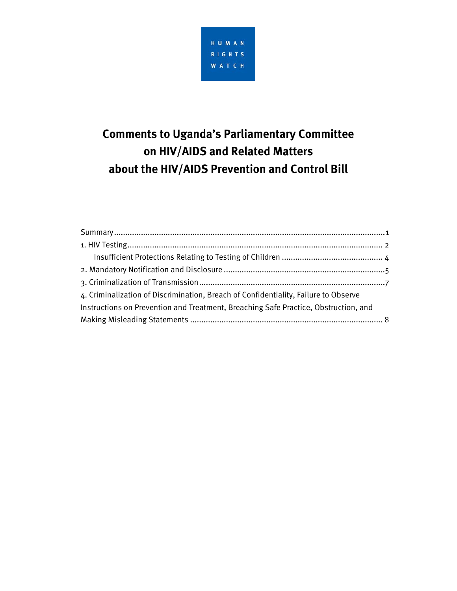

# **Comments to Uganda's Parliamentary Committee on HIV/AIDS and Related Matters about the HIV/AIDS Prevention and Control Bill**

| 4. Criminalization of Discrimination, Breach of Confidentiality, Failure to Observe |  |
|-------------------------------------------------------------------------------------|--|
| Instructions on Prevention and Treatment, Breaching Safe Practice, Obstruction, and |  |
|                                                                                     |  |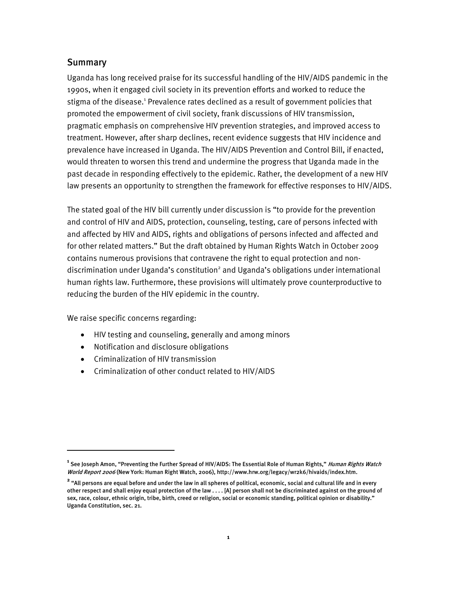### **Summary**

Uganda has long received praise for its successful handling of the HIV/AIDS pandemic in the 1990s, when it engaged civil society in its prevention efforts and worked to reduce the stigma of the disease.<sup>1</sup> Prevalence rates declined as a result of government policies that promoted the empowerment of civil society, frank discussions of HIV transmission, pragmatic emphasis on comprehensive HIV prevention strategies, and improved access to treatment. However, after sharp declines, recent evidence suggests that HIV incidence and prevalence have increased in Uganda. The HIV/AIDS Prevention and Control Bill, if enacted, would threaten to worsen this trend and undermine the progress that Uganda made in the past decade in responding effectively to the epidemic. Rather, the development of a new HIV law presents an opportunity to strengthen the framework for effective responses to HIV/AIDS.

The stated goal of the HIV bill currently under discussion is "to provide for the prevention and control of HIV and AIDS, protection, counseling, testing, care of persons infected with and affected by HIV and AIDS, rights and obligations of persons infected and affected and for other related matters." But the draft obtained by Human Rights Watch in October 2009 contains numerous provisions that contravene the right to equal protection and nondiscrimination under Uganda's constitution<sup>2</sup> and Uganda's obligations under international human rights law. Furthermore, these provisions will ultimately prove counterproductive to reducing the burden of the HIV epidemic in the country.

We raise specific concerns regarding:

ֺ

- HIV testing and counseling, generally and among minors
- Notification and disclosure obligations
- Criminalization of HIV transmission
- Criminalization of other conduct related to HIV/AIDS

**<sup>1</sup>** See Joseph Amon, "Preventing the Further Spread of HIV/AIDS: The Essential Role of Human Rights," Human Rights Watch World Report 2006 (New York: Human Right Watch, 2006), http://www.hrw.org/legacy/wr2k6/hivaids/index.htm.

**<sup>2</sup>** "All persons are equal before and under the law in all spheres of political, economic, social and cultural life and in every other respect and shall enjoy equal protection of the law . . . . [A] person shall not be discriminated against on the ground of sex, race, colour, ethnic origin, tribe, birth, creed or religion, social or economic standing, political opinion or disability." Uganda Constitution, sec. 21.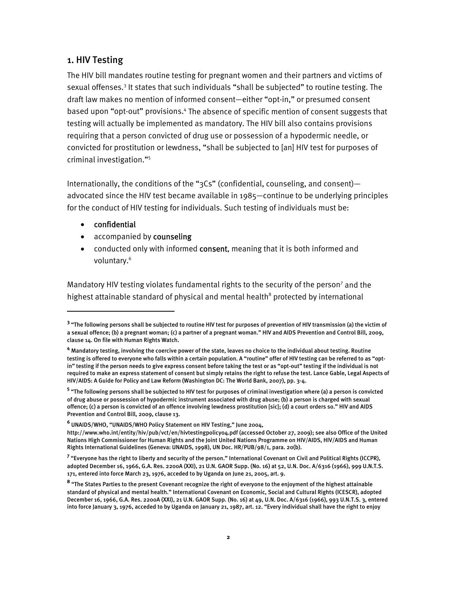# 1. HIV Testing

The HIV bill mandates routine testing for pregnant women and their partners and victims of sexual offenses.<sup>3</sup> It states that such individuals "shall be subjected" to routine testing. The draft law makes no mention of informed consent—either "opt-in," or presumed consent based upon "opt-out" provisions.<sup>4</sup> The absence of specific mention of consent suggests that testing will actually be implemented as mandatory. The HIV bill also contains provisions requiring that a person convicted of drug use or possession of a hypodermic needle, or convicted for prostitution or lewdness, "shall be subjected to [an] HIV test for purposes of criminal investigation."5

Internationally, the conditions of the "3Cs" (confidential, counseling, and consent) advocated since the HIV test became available in 1985—continue to be underlying principles for the conduct of HIV testing for individuals. Such testing of individuals must be:

• confidential

:

- accompanied by counseling
- conducted only with informed consent, meaning that it is both informed and voluntary.<sup>6</sup>

Mandatory HIV testing violates fundamental rights to the security of the person<sup>7</sup> and the highest attainable standard of physical and mental health<sup>8</sup> protected by international

<sup>&</sup>lt;sup>3</sup> "The following persons shall be subjected to routine HIV test for purposes of prevention of HIV transmission (a) the victim of a sexual offence; (b) a pregnant woman; (c) a partner of a pregnant woman." HIV and AIDS Prevention and Control Bill, 2009, clause 14. On file with Human Rights Watch.

**<sup>4</sup>** Mandatory testing, involving the coercive power of the state, leaves no choice to the individual about testing. Routine testing is offered to everyone who falls within a certain population. A "routine" offer of HIV testing can be referred to as "optin" testing if the person needs to give express consent before taking the test or as "opt-out" testing if the individual is not required to make an express statement of consent but simply retains the right to refuse the test. Lance Gable, Legal Aspects of HIV/AIDS: A Guide for Policy and Law Reform (Washington DC: The World Bank, 2007), pp. 3-4.

**<sup>5</sup>** "The following persons shall be subjected to HIV test for purposes of criminal investigation where (a) a person is convicted of drug abuse or possession of hypodermic instrument associated with drug abuse; (b) a person is charged with sexual offence; (c) a person is convicted of an offence involving lewdness prostitution [sic]; (d) a court orders so." HIV and AIDS Prevention and Control Bill, 2009, clause 13.

**<sup>6</sup>** UNAIDS/WHO, "UNAIDS/WHO Policy Statement on HIV Testing," June 2004,

http://www.who.int/entity/hiv/pub/vct/en/hivtestingpolicy04.pdf (accessed October 27, 2009); see also Office of the United Nations High Commissioner for Human Rights and the Joint United Nations Programme on HIV/AIDS, HIV/AIDS and Human Rights International Guidelines (Geneva: UNAIDS, 1998), UN Doc. HR/PUB/98/1, para. 20(b).

**<sup>7</sup>** "Everyone has the right to liberty and security of the person." International Covenant on Civil and Political Rights (ICCPR), adopted December 16, 1966, G.A. Res. 2200A (XXI), 21 U.N. GAOR Supp. (No. 16) at 52, U.N. Doc. A/6316 (1966), 999 U.N.T.S. 171, entered into force March 23, 1976, acceded to by Uganda on June 21, 2005, art. 9.

**<sup>8</sup>** "The States Parties to the present Covenant recognize the right of everyone to the enjoyment of the highest attainable standard of physical and mental health." International Covenant on Economic, Social and Cultural Rights (ICESCR), adopted December 16, 1966, G.A. Res. 2200A (XXI), 21 U.N. GAOR Supp. (No. 16) at 49, U.N. Doc. A/6316 (1966), 993 U.N.T.S. 3, entered into force January 3, 1976, acceded to by Uganda on January 21, 1987, art. 12. "Every individual shall have the right to enjoy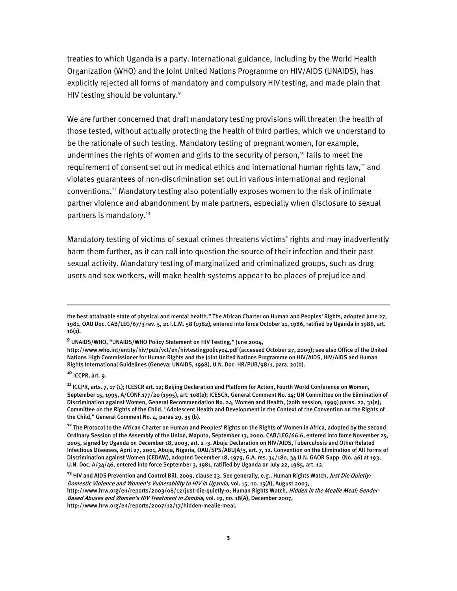treaties to which Uganda is a party. International guidance, including by the World Health Organization (WHO) and the Joint United Nations Programme on HIV/AIDS (UNAIDS), has explicitly rejected all forms of mandatory and compulsory HIV testing, and made plain that HIV testing should be voluntary.<sup>9</sup>

We are further concerned that draft mandatory testing provisions will threaten the health of those tested, without actually protecting the health of third parties, which we understand to be the rationale of such testing. Mandatory testing of pregnant women, for example, undermines the rights of women and girls to the security of person,<sup>10</sup> fails to meet the requirement of consent set out in medical ethics and international human rights law,<sup>11</sup> and violates guarantees of non-discrimination set out in various international and regional conventions.12 Mandatory testing also potentially exposes women to the risk of intimate partner violence and abandonment by male partners, especially when disclosure to sexual partners is mandatory.<sup>13</sup>

Mandatory testing of victims of sexual crimes threatens victims' rights and may inadvertently harm them further, as it can call into question the source of their infection and their past sexual activity. Mandatory testing of marginalized and criminalized groups, such as drug users and sex workers, will make health systems appear to be places of prejudice and

**<sup>10</sup>** ICCPR, art. 9.

İ

**<sup>12</sup>** The Protocol to the African Charter on Human and Peoples' Rights on the Rights of Women in Africa, adopted by the second Ordinary Session of the Assembly of the Union, Maputo, September 13, 2000, CAB/LEG/66.6, entered into force November 25, 2005, signed by Uganda on December 18, 2003, art. 2 -3. Abuja Declaration on HIV/AIDS, Tuberculosis and Other Related Infectious Diseases, April 27, 2001, Abuja, Nigeria, OAU/SPS/ABUJA/3, art. 7, 12. Convention on the Elimination of All Forms of Discrimination against Women (CEDAW), adopted December 18, 1979, G.A. res. 34/180, 34 U.N. GAOR Supp. (No. 46) at 193, U.N. Doc. A/34/46, entered into force September 3, 1981, ratified by Uganda on July 22, 1985, art. 12.

the best attainable state of physical and mental health." The African Charter on Human and Peoples' Rights, adopted June 27, 1981, OAU Doc. CAB/LEG/67/3 rev. 5, 21 I.L.M. 58 (1982), entered into force October 21, 1986, ratified by Uganda in 1986, art. 16(1).

**<sup>9</sup>** UNAIDS/WHO, "UNAIDS/WHO Policy Statement on HIV Testing," June 2004,

http://www.who.int/entity/hiv/pub/vct/en/hivtestingpolicy04.pdf (accessed October 27, 2009); see also Office of the United Nations High Commissioner for Human Rights and the Joint United Nations Programme on HIV/AIDS, HIV/AIDS and Human Rights International Guidelines (Geneva: UNAIDS, 1998), U.N. Doc. HR/PUB/98/1, para. 20(b).

**<sup>11</sup>** ICCPR, arts. 7, 17 (1); ICESCR art. 12; Beijing Declaration and Platform for Action, Fourth World Conference on Women, September 15, 1995, A/CONF.177/20 (1995), art. 108(e); ICESCR, General Comment No. 14; UN Committee on the Elimination of Discrimination against Women, General Recommendation No. 24, Women and Health, (20th session, 1999) paras. 22, 31(e); Committee on the Rights of the Child, "Adolescent Health and Development in the Context of the Convention on the Rights of the Child," General Comment No. 4, paras 29, 35 (b).

**<sup>13</sup>** HIV and AIDS Prevention and Control Bill, 2009, clause 23. See generally, e.g., Human Rights Watch, Just Die Quietly: Domestic Violence and Women's Vulnerability to HIV in Uganda, vol. 15, no. 15(A), August 2003, http://www.hrw.org/en/reports/2003/08/12/just-die-quietly-0; Human Rights Watch, Hidden in the Mealie Meal: Gender-Based Abuses and Women's HIV Treatment in Zambia, vol. 19, no. 18(A), December 2007, http://www.hrw.org/en/reports/2007/12/17/hidden-mealie-meal.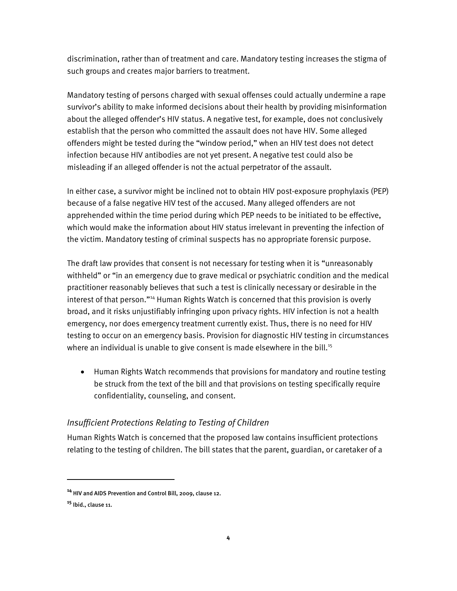discrimination, rather than of treatment and care. Mandatory testing increases the stigma of such groups and creates major barriers to treatment.

Mandatory testing of persons charged with sexual offenses could actually undermine a rape survivor's ability to make informed decisions about their health by providing misinformation about the alleged offender's HIV status. A negative test, for example, does not conclusively establish that the person who committed the assault does not have HIV. Some alleged offenders might be tested during the "window period," when an HIV test does not detect infection because HIV antibodies are not yet present. A negative test could also be misleading if an alleged offender is not the actual perpetrator of the assault.

In either case, a survivor might be inclined not to obtain HIV post-exposure prophylaxis (PEP) because of a false negative HIV test of the accused. Many alleged offenders are not apprehended within the time period during which PEP needs to be initiated to be effective, which would make the information about HIV status irrelevant in preventing the infection of the victim. Mandatory testing of criminal suspects has no appropriate forensic purpose.

The draft law provides that consent is not necessary for testing when it is "unreasonably withheld" or "in an emergency due to grave medical or psychiatric condition and the medical practitioner reasonably believes that such a test is clinically necessary or desirable in the interest of that person."<sup>14</sup> Human Rights Watch is concerned that this provision is overly broad, and it risks unjustifiably infringing upon privacy rights. HIV infection is not a health emergency, nor does emergency treatment currently exist. Thus, there is no need for HIV testing to occur on an emergency basis. Provision for diagnostic HIV testing in circumstances where an individual is unable to give consent is made elsewhere in the bill. $15$ 

• Human Rights Watch recommends that provisions for mandatory and routine testing be struck from the text of the bill and that provisions on testing specifically require confidentiality, counseling, and consent.

# *Insufficient Protections Relating to Testing of Children*

Human Rights Watch is concerned that the proposed law contains insufficient protections relating to the testing of children. The bill states that the parent, guardian, or caretaker of a

ֺ

**<sup>14</sup>** HIV and AIDS Prevention and Control Bill, 2009, clause 12.

**<sup>15</sup>** Ibid., clause 11.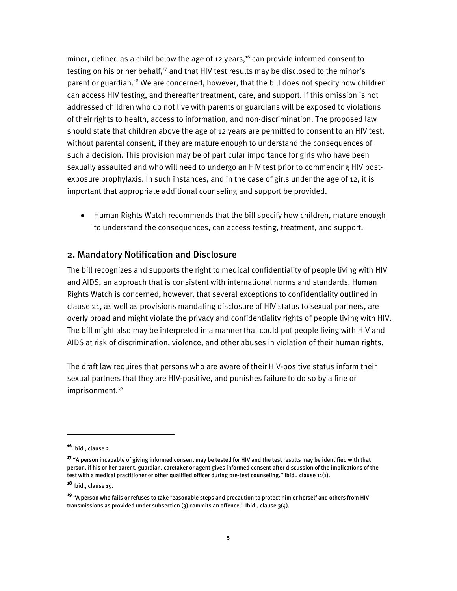minor, defined as a child below the age of 12 years, $16$  can provide informed consent to testing on his or her behalf, $17$  and that HIV test results may be disclosed to the minor's parent or guardian.<sup>18</sup> We are concerned, however, that the bill does not specify how children can access HIV testing, and thereafter treatment, care, and support. If this omission is not addressed children who do not live with parents or guardians will be exposed to violations of their rights to health, access to information, and non-discrimination. The proposed law should state that children above the age of 12 years are permitted to consent to an HIV test, without parental consent, if they are mature enough to understand the consequences of such a decision. This provision may be of particular importance for girls who have been sexually assaulted and who will need to undergo an HIV test prior to commencing HIV postexposure prophylaxis. In such instances, and in the case of girls under the age of 12, it is important that appropriate additional counseling and support be provided.

• Human Rights Watch recommends that the bill specify how children, mature enough to understand the consequences, can access testing, treatment, and support.

## 2. Mandatory Notification and Disclosure

The bill recognizes and supports the right to medical confidentiality of people living with HIV and AIDS, an approach that is consistent with international norms and standards. Human Rights Watch is concerned, however, that several exceptions to confidentiality outlined in clause 21, as well as provisions mandating disclosure of HIV status to sexual partners, are overly broad and might violate the privacy and confidentiality rights of people living with HIV. The bill might also may be interpreted in a manner that could put people living with HIV and AIDS at risk of discrimination, violence, and other abuses in violation of their human rights.

The draft law requires that persons who are aware of their HIV-positive status inform their sexual partners that they are HIV-positive, and punishes failure to do so by a fine or imprisonment.<sup>19</sup>

I

**<sup>16</sup>** Ibid., clause 2.

**<sup>17</sup>** "A person incapable of giving informed consent may be tested for HIV and the test results may be identified with that person, if his or her parent, guardian, caretaker or agent gives informed consent after discussion of the implications of the test with a medical practitioner or other qualified officer during pre-test counseling." Ibid., clause 11(1).

**<sup>18</sup>** Ibid., clause 19.

**<sup>19</sup>** "A person who fails or refuses to take reasonable steps and precaution to protect him or herself and others from HIV transmissions as provided under subsection  $(3)$  commits an offence." Ibid., clause  $3(4)$ .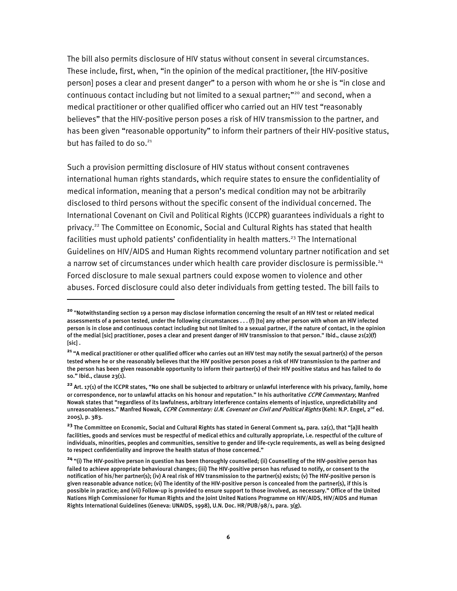The bill also permits disclosure of HIV status without consent in several circumstances. These include, first, when, "in the opinion of the medical practitioner, [the HIV-positive person] poses a clear and present danger" to a person with whom he or she is "in close and continuous contact including but not limited to a sexual partner;"<sup>20</sup> and second, when a medical practitioner or other qualified officer who carried out an HIV test "reasonably believes" that the HIV-positive person poses a risk of HIV transmission to the partner, and has been given "reasonable opportunity" to inform their partners of their HIV-positive status, but has failed to do so.<sup>21</sup>

Such a provision permitting disclosure of HIV status without consent contravenes international human rights standards, which require states to ensure the confidentiality of medical information, meaning that a person's medical condition may not be arbitrarily disclosed to third persons without the specific consent of the individual concerned. The International Covenant on Civil and Political Rights (ICCPR) guarantees individuals a right to privacy.<sup>22</sup> The Committee on Economic, Social and Cultural Rights has stated that health facilities must uphold patients' confidentiality in health matters.<sup>23</sup> The International Guidelines on HIV/AIDS and Human Rights recommend voluntary partner notification and set a narrow set of circumstances under which health care provider disclosure is permissible.<sup>24</sup> Forced disclosure to male sexual partners could expose women to violence and other abuses. Forced disclosure could also deter individuals from getting tested. The bill fails to

 $\overline{a}$ 

**<sup>20</sup>** "Notwithstanding section 19 a person may disclose information concerning the result of an HIV test or related medical assessments of a person tested, under the following circumstances . . . (f) [to] any other person with whom an HIV infected person is in close and continuous contact including but not limited to a sexual partner, if the nature of contact, in the opinion of the medial [sic] practitioner, poses a clear and present danger of HIV transmission to that person." Ibid., clause 21(2)(f) [sic] .

**<sup>21</sup>** "A medical practitioner or other qualified officer who carries out an HIV test may notify the sexual partner(s) of the person tested where he or she reasonably believes that the HIV positive person poses a risk of HIV transmission to the partner and the person has been given reasonable opportunity to inform their partner(s) of their HIV positive status and has failed to do so." Ibid., clause 23(1).

**<sup>22</sup>** Art. 17(1) of the ICCPR states, "No one shall be subjected to arbitrary or unlawful interference with his privacy, family, home or correspondence, nor to unlawful attacks on his honour and reputation." In his authoritative CCPR Commentary, Manfred Nowak states that "regardless of its lawfulness, arbitrary interference contains elements of injustice, unpredictability and unreasonableness." Manfred Nowak, CCPR Commentary: U.N. Covenant on Civil and Political Rights (Kehl: N.P. Engel, 2<sup>nd</sup> ed. 2005), p. 383.

**<sup>23</sup>** The Committee on Economic, Social and Cultural Rights has stated in General Comment 14, para. 12(c), that "[a]ll health facilities, goods and services must be respectful of medical ethics and culturally appropriate, i.e. respectful of the culture of individuals, minorities, peoples and communities, sensitive to gender and life-cycle requirements, as well as being designed to respect confidentiality and improve the health status of those concerned."

**<sup>24</sup>** "(i) The HIV-positive person in question has been thoroughly counselled; (ii) Counselling of the HIV-positive person has failed to achieve appropriate behavioural changes; (iii) The HIV-positive person has refused to notify, or consent to the notification of his/her partner(s); (iv) A real risk of HIV transmission to the partner(s) exists; (v) The HIV-positive person is given reasonable advance notice; (vi) The identity of the HIV-positive person is concealed from the partner(s), if this is possible in practice; and (vii) Follow-up is provided to ensure support to those involved, as necessary." Office of the United Nations High Commissioner for Human Rights and the Joint United Nations Programme on HIV/AIDS, HIV/AIDS and Human Rights International Guidelines (Geneva: UNAIDS, 1998), U.N. Doc. HR/PUB/98/1, para. 3(g).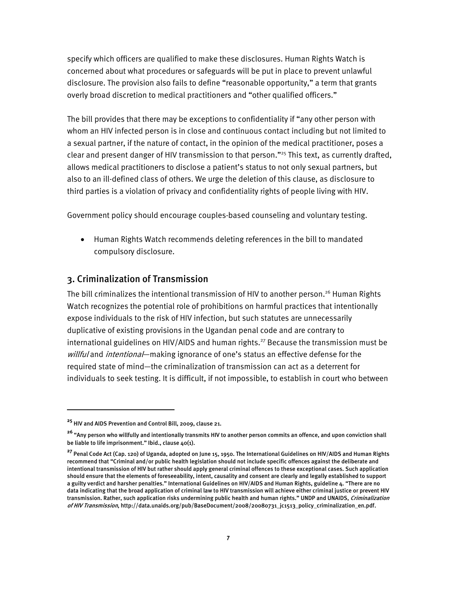specify which officers are qualified to make these disclosures. Human Rights Watch is concerned about what procedures or safeguards will be put in place to prevent unlawful disclosure. The provision also fails to define "reasonable opportunity," a term that grants overly broad discretion to medical practitioners and "other qualified officers."

The bill provides that there may be exceptions to confidentiality if "any other person with whom an HIV infected person is in close and continuous contact including but not limited to a sexual partner, if the nature of contact, in the opinion of the medical practitioner, poses a clear and present danger of HIV transmission to that person."<sup>25</sup> This text, as currently drafted, allows medical practitioners to disclose a patient's status to not only sexual partners, but also to an ill-defined class of others. We urge the deletion of this clause, as disclosure to third parties is a violation of privacy and confidentiality rights of people living with HIV.

Government policy should encourage couples-based counseling and voluntary testing.

• Human Rights Watch recommends deleting references in the bill to mandated compulsory disclosure.

### 3. Criminalization of Transmission

The bill criminalizes the intentional transmission of HIV to another person.<sup>26</sup> Human Rights Watch recognizes the potential role of prohibitions on harmful practices that intentionally expose individuals to the risk of HIV infection, but such statutes are unnecessarily duplicative of existing provisions in the Ugandan penal code and are contrary to international guidelines on HIV/AIDS and human rights.<sup>27</sup> Because the transmission must be willful and intentional—making ignorance of one's status an effective defense for the required state of mind—the criminalization of transmission can act as a deterrent for individuals to seek testing. It is difficult, if not impossible, to establish in court who between

I

**<sup>25</sup>** HIV and AIDS Prevention and Control Bill, 2009, clause 21.

**<sup>26</sup>** "Any person who willfully and intentionally transmits HIV to another person commits an offence, and upon conviction shall be liable to life imprisonment." Ibid., clause 40(1).

**<sup>27</sup>** Penal Code Act (Cap. 120) of Uganda, adopted on June 15, 1950. The International Guidelines on HIV/AIDS and Human Rights recommend that "Criminal and/or public health legislation should not include specific offences against the deliberate and intentional transmission of HIV but rather should apply general criminal offences to these exceptional cases. Such application should ensure that the elements of foreseeability, intent, causality and consent are clearly and legally established to support a guilty verdict and harsher penalties." International Guidelines on HIV/AIDS and Human Rights, guideline 4. "There are no data indicating that the broad application of criminal law to HIV transmission will achieve either criminal justice or prevent HIV transmission. Rather, such application risks undermining public health and human rights." UNDP and UNAIDS, Criminalization of HIV Transmission, http://data.unaids.org/pub/BaseDocument/2008/20080731\_jc1513\_policy\_criminalization\_en.pdf.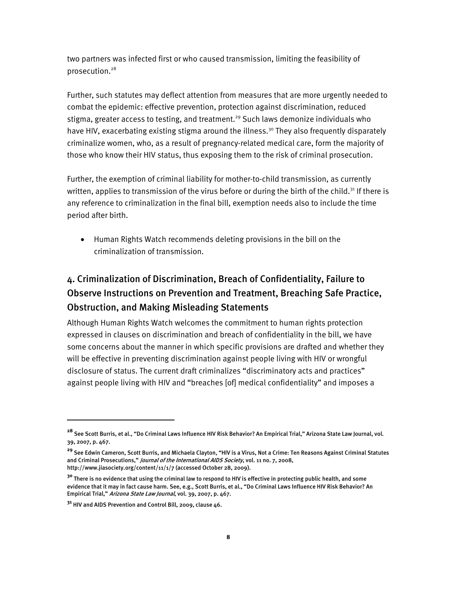two partners was infected first or who caused transmission, limiting the feasibility of prosecution.28

Further, such statutes may deflect attention from measures that are more urgently needed to combat the epidemic: effective prevention, protection against discrimination, reduced stigma, greater access to testing, and treatment.<sup>29</sup> Such laws demonize individuals who have HIV, exacerbating existing stigma around the illness.<sup>30</sup> They also frequently disparately criminalize women, who, as a result of pregnancy-related medical care, form the majority of those who know their HIV status, thus exposing them to the risk of criminal prosecution.

Further, the exemption of criminal liability for mother-to-child transmission, as currently written, applies to transmission of the virus before or during the birth of the child.<sup>31</sup> If there is any reference to criminalization in the final bill, exemption needs also to include the time period after birth.

• Human Rights Watch recommends deleting provisions in the bill on the criminalization of transmission.

# 4. Criminalization of Discrimination, Breach of Confidentiality, Failure to Observe Instructions on Prevention and Treatment, Breaching Safe Practice, Obstruction, and Making Misleading Statements

Although Human Rights Watch welcomes the commitment to human rights protection expressed in clauses on discrimination and breach of confidentiality in the bill, we have some concerns about the manner in which specific provisions are drafted and whether they will be effective in preventing discrimination against people living with HIV or wrongful disclosure of status. The current draft criminalizes "discriminatory acts and practices" against people living with HIV and "breaches [of] medical confidentiality" and imposes a

I

**<sup>28</sup>** See Scott Burris, et al., "Do Criminal Laws Influence HIV Risk Behavior? An Empirical Trial," Arizona State Law Journal, vol. 39, 2007, p. 467.

**<sup>29</sup>** See Edwin Cameron, Scott Burris, and Michaela Clayton, "HIV is a Virus, Not a Crime: Ten Reasons Against Criminal Statutes and Criminal Prosecutions," *Journal of the International AIDS Society*, vol. 11 no. 7, 2008, http://www.jiasociety.org/content/11/1/7 (accessed October 28, 2009).

**<sup>30</sup>** There is no evidence that using the criminal law to respond to HIV is effective in protecting public health, and some evidence that it may in fact cause harm. See, e.g., Scott Burris, et al., "Do Criminal Laws Influence HIV Risk Behavior? An Empirical Trial," Arizona State Law Journal, vol. 39, 2007, p. 467.

**<sup>31</sup>** HIV and AIDS Prevention and Control Bill, 2009, clause 46.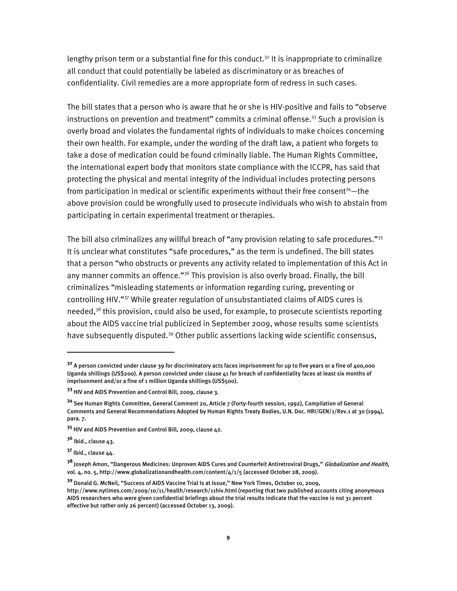lengthy prison term or a substantial fine for this conduct.<sup>32</sup> It is inappropriate to criminalize all conduct that could potentially be labeled as discriminatory or as breaches of confidentiality. Civil remedies are a more appropriate form of redress in such cases.

The bill states that a person who is aware that he or she is HIV-positive and fails to "observe instructions on prevention and treatment" commits a criminal offense.<sup>33</sup> Such a provision is overly broad and violates the fundamental rights of individuals to make choices concerning their own health. For example, under the wording of the draft law, a patient who forgets to take a dose of medication could be found criminally liable. The Human Rights Committee, the international expert body that monitors state compliance with the ICCPR, has said that protecting the physical and mental integrity of the individual includes protecting persons from participation in medical or scientific experiments without their free consent $34$ —the above provision could be wrongfully used to prosecute individuals who wish to abstain from participating in certain experimental treatment or therapies.

The bill also criminalizes any willful breach of "any provision relating to safe procedures."35 It is unclear what constitutes "safe procedures," as the term is undefined. The bill states that a person "who obstructs or prevents any activity related to implementation of this Act in any manner commits an offence."<sup>36</sup> This provision is also overly broad. Finally, the bill criminalizes "misleading statements or information regarding curing, preventing or controlling HIV."37 While greater regulation of unsubstantiated claims of AIDS cures is needed,<sup>38</sup> this provision, could also be used, for example, to prosecute scientists reporting about the AIDS vaccine trial publicized in September 2009, whose results some scientists have subsequently disputed.<sup>39</sup> Other public assertions lacking wide scientific consensus,

**<sup>36</sup>** Ibid., clause 43.

ֺ

**<sup>37</sup>** Ibid., clause 44.

**<sup>32</sup>** A person convicted under clause 39 for discriminatory acts faces imprisonment for up to five years or a fine of 400,000 Uganda shillings (US\$200). A person convicted under clause 41 for breach of confidentiality faces at least six months of imprisonment and/or a fine of 1 million Uganda shillings (US\$500).

**<sup>33</sup>** HIV and AIDS Prevention and Control Bill, 2009, clause 3.

**<sup>34</sup>** See Human Rights Committee, General Comment 20, Article 7 (Forty-fourth session, 1992), Compilation of General Comments and General Recommendations Adopted by Human Rights Treaty Bodies, U.N. Doc. HRI/GEN/1/Rev.1 at 30 (1994), para. 7.

**<sup>35</sup>** HIV and AIDS Prevention and Control Bill, 2009, clause 42.

**<sup>38</sup>** Joseph Amon, "Dangerous Medicines: Unproven AIDS Cures and Counterfeit Antiretroviral Drugs," Globalization and Health, vol. 4, no. 5, http://www.globalizationandhealth.com/content/4/1/5 (accessed October 28, 2009).

**<sup>39</sup>** Donald G. McNeil, "Success of AIDS Vaccine Trial Is at Issue," New York Times, October 10, 2009, http://www.nytimes.com/2009/10/11/health/research/11hiv.html (reporting that two published accounts citing anonymous AIDS researchers who were given confidential briefings about the trial results indicate that the vaccine is not 31 percent effective but rather only 26 percent) (accessed October 13, 2009).